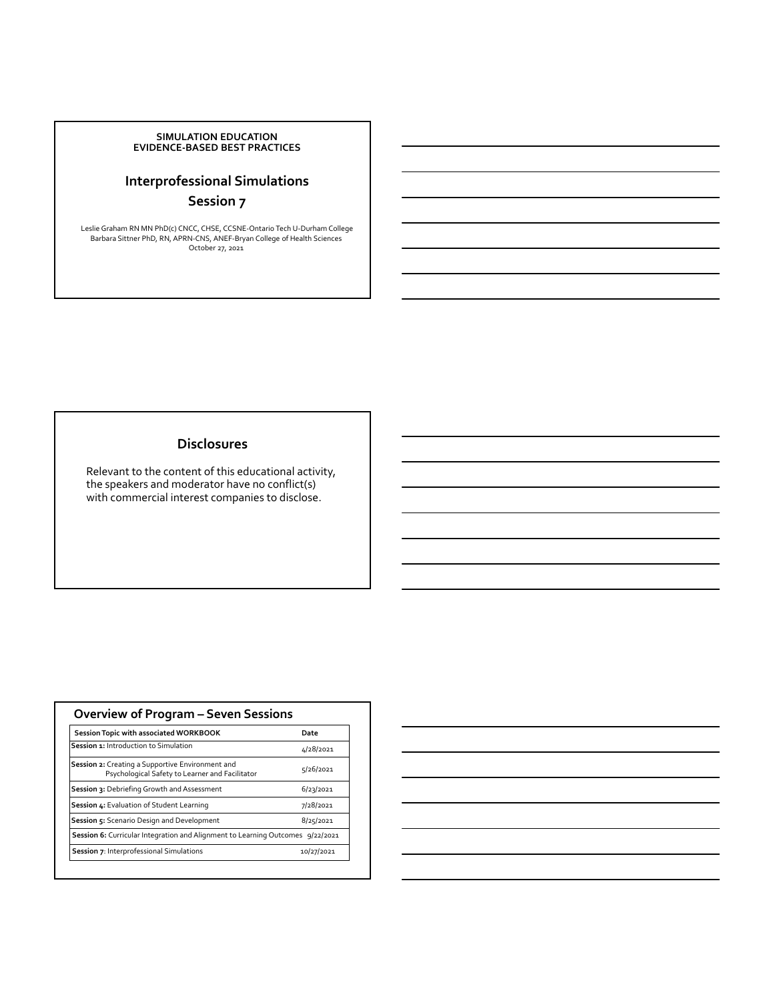#### **SIMULATION EDUCATION EVIDENCE‐BASED BEST PRACTICES**

## **Interprofessional Simulations Session 7**

Leslie Graham RN MN PhD(c) CNCC, CHSE, CCSNE‐Ontario Tech U‐Durham College Barbara Sittner PhD, RN, APRN‐CNS, ANEF‐Bryan College of Health Sciences October 27, 2021

#### **Disclosures**

Relevant to the content of this educational activity, the speakers and moderator have no conflict(s) with commercial interest companies to disclose.

| <b>Overview of Program - Seven Sessions</b>                                                         |            |
|-----------------------------------------------------------------------------------------------------|------------|
| Session Topic with associated WORKBOOK                                                              | Date       |
| Session 1: Introduction to Simulation                                                               | 4/28/2021  |
| Session 2: Creating a Supportive Environment and<br>Psychological Safety to Learner and Facilitator | 5/26/2021  |
| Session 3: Debriefing Growth and Assessment                                                         | 6/23/2021  |
| Session 4: Evaluation of Student Learning                                                           | 7/28/2021  |
| Session 5: Scenario Design and Development                                                          | 8/25/2021  |
| Session 6: Curricular Integration and Alignment to Learning Outcomes 9/22/2021                      |            |
| Session 7: Interprofessional Simulations                                                            | 10/27/2021 |

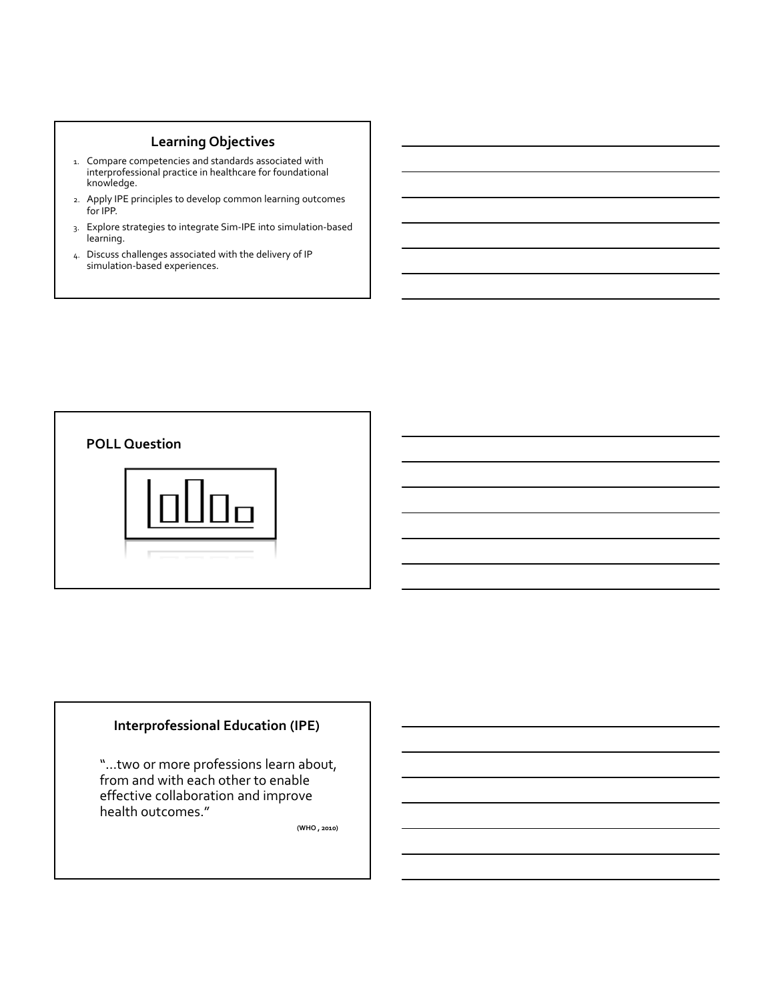## **Learning Objectives**

- 1. Compare competencies and standards associated with interprofessional practice in healthcare for foundational knowledge.
- 2. Apply IPE principles to develop common learning outcomes for IPP.
- 3. Explore strategies to integrate Sim‐IPE into simulation‐based learning.
- 4. Discuss challenges associated with the delivery of IP simulation‐based experiences.



### **Interprofessional Education (IPE)**

"…two or more professions learn about, from and with each other to enable effective collaboration and improve health outcomes."

**(WHO , 2010)**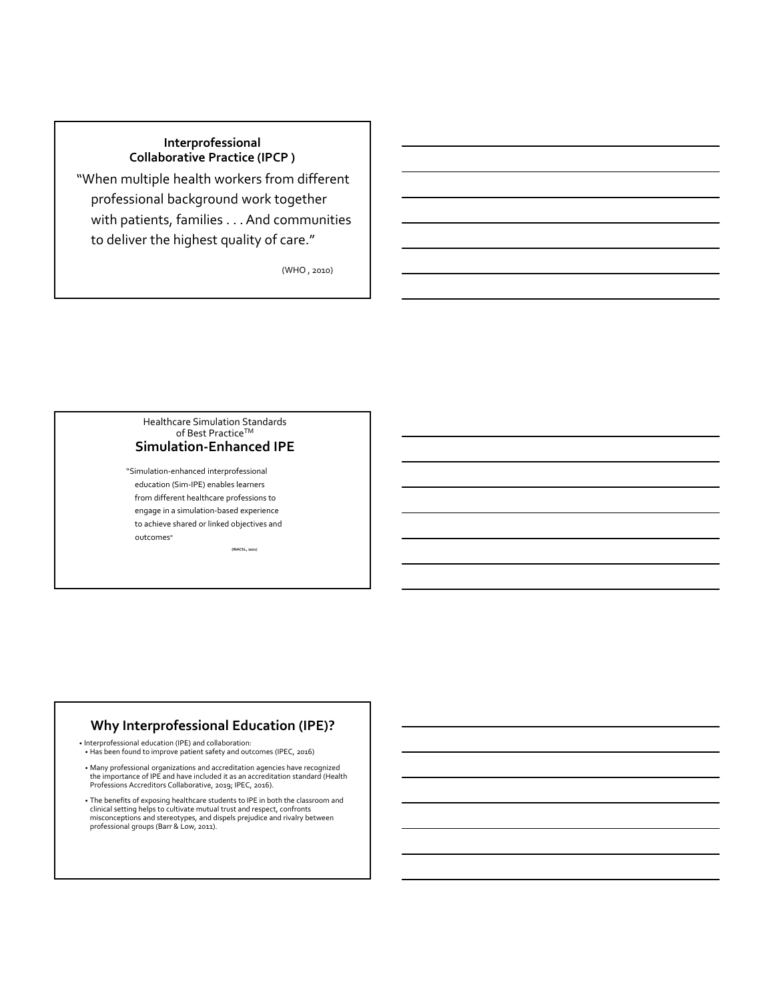# **Interprofessional Collaborative Practice (IPCP )**

"When multiple health workers from different professional background work together with patients, families . . . And communities to deliver the highest quality of care."

(WHO , 2010)

#### Healthcare Simulation Standards of Best Practice™ **Simulation‐Enhanced IPE**

"Simulation‐enhanced interprofessional education (Sim‐IPE) enables learners from different healthcare professions to engage in a simulation‐based experience to achieve shared or linked objectives and outcomes"

**(INACSL, 2021)**

### **Why Interprofessional Education (IPE)?**

• Interprofessional education (IPE) and collaboration: • Has been found to improve patient safety and outcomes (IPEC, 2016)

• Many professional organizations and accreditation agencies have recognized the importance of IPE and have included it as an accreditation standard (Health Professions Accreditors Collaborative, 2019; IPEC, 2016).

• The benefits of exposing healthcare students to IPE in both the classroom and clinical setting helps to cultivate mutual trust and respect, confronts misconceptions and stereotypes, and dispels prejudice and rivalry between professional groups (Barr & Low, 2011).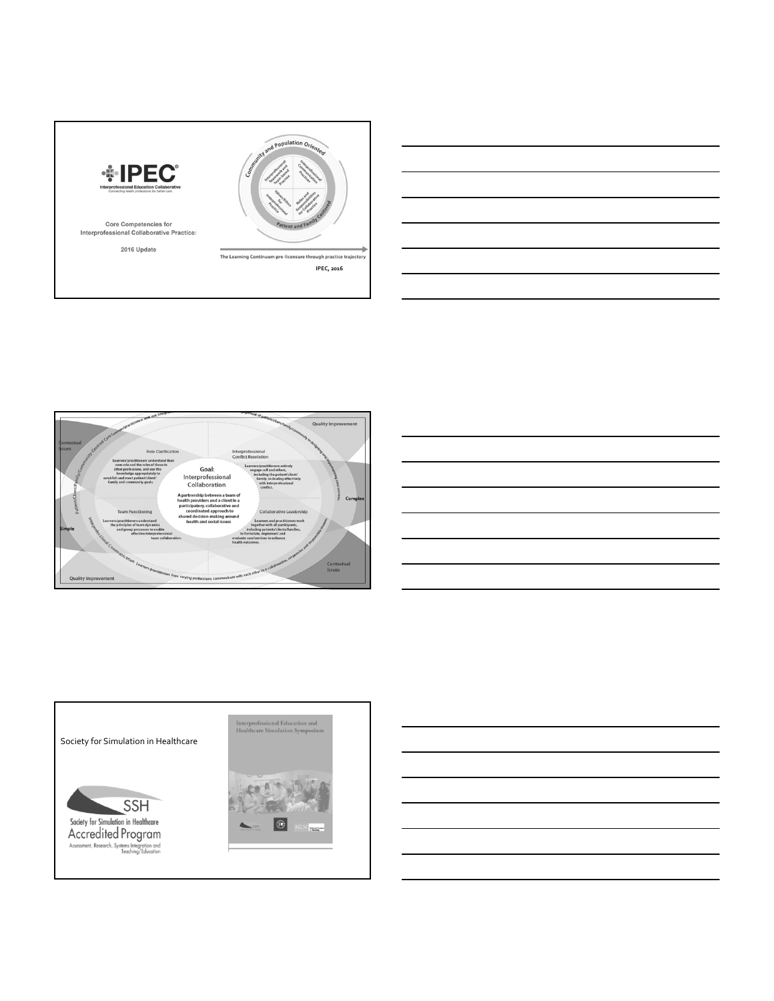





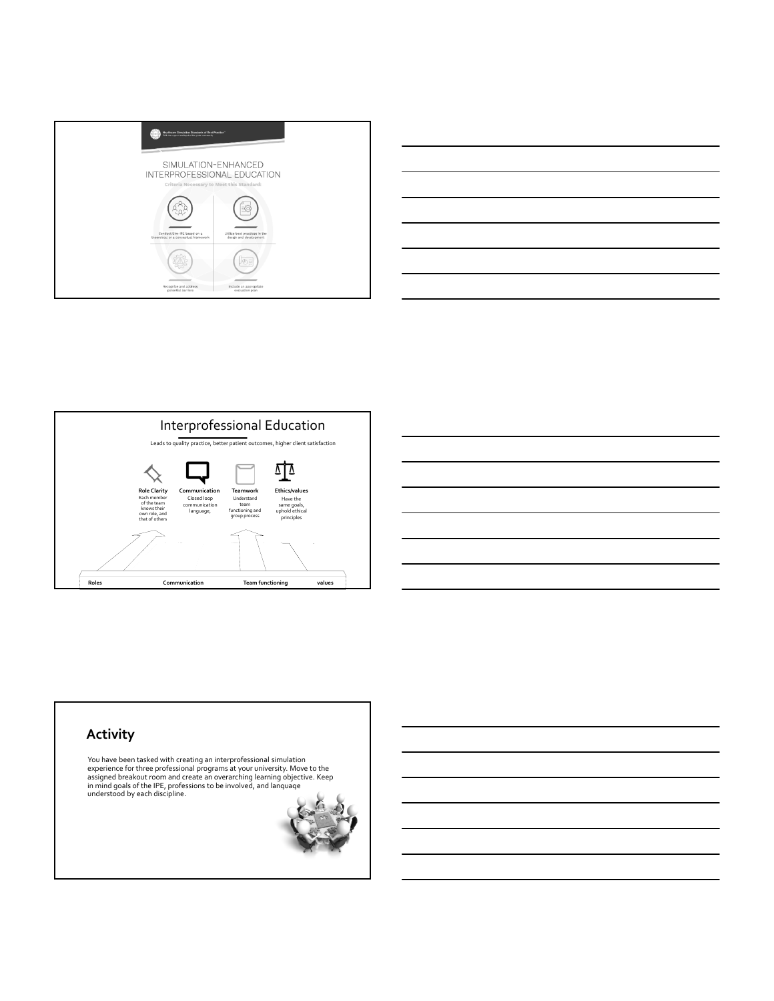







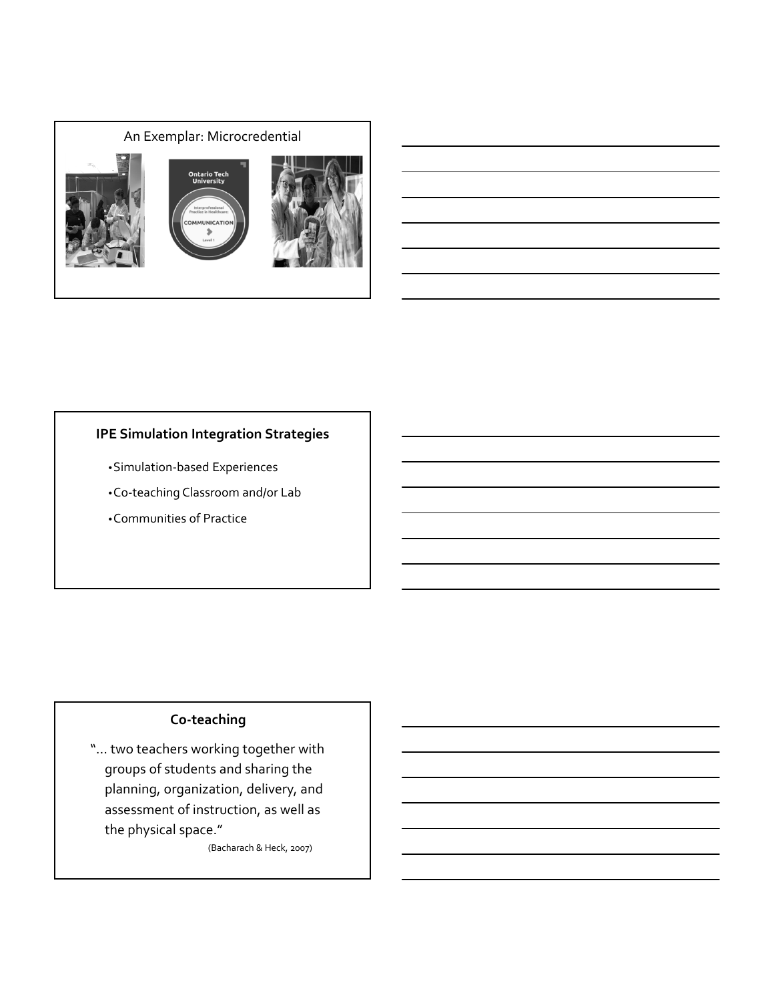

# **IPE Simulation Integration Strategies**

- •Simulation‐based Experiences
- •Co‐teaching Classroom and/or Lab
- •Communities of Practice

# **Co‐teaching**

"… two teachers working together with groups of students and sharing the planning, organization, delivery, and assessment of instruction, as well as the physical space."

(Bacharach & Heck, 2007)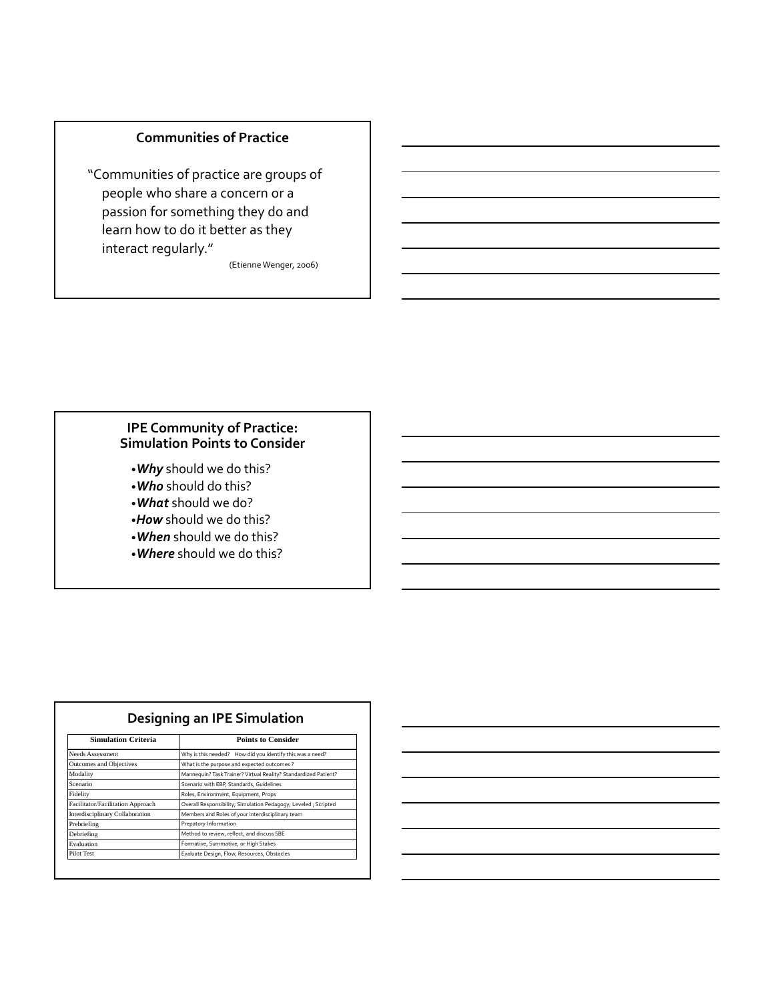### **Communities of Practice**

"Communities of practice are groups of people who share a concern or a passion for something they do and learn how to do it better as they interact regularly."

(Etienne Wenger, 2006)

### **IPE Community of Practice: Simulation Points to Consider**

- •*Why* should we do this?
- •*Who* should do this?
- •*What* should we do?
- •*How* should we do this?
- •*When* should we do this?
- •*Where* should we do this?

| <b>Simulation Criteria</b>        | <b>Points to Consider</b>                                       |  |  |
|-----------------------------------|-----------------------------------------------------------------|--|--|
| Needs Assessment                  | Why is this needed? How did you identify this was a need?       |  |  |
| Outcomes and Objectives           | What is the purpose and expected outcomes?                      |  |  |
| Modality                          | Mannequin? Task Trainer? Virtual Reality? Standardized Patient? |  |  |
| Scenario                          | Scenario with EBP, Standards, Guidelines                        |  |  |
| Fidelity                          | Roles, Environment, Equipment, Props                            |  |  |
| Facilitator/Facilitation Approach | Overall Responsibility; Simulation Pedagogy; Leveled ; Scripted |  |  |
| Interdisciplinary Collaboration   | Members and Roles of your interdisciplinary team                |  |  |
| Prebriefing                       | Prepatory Information                                           |  |  |
| Debriefing                        | Method to review, reflect, and discuss SBE                      |  |  |
| Evaluation                        | Formative, Summative, or High Stakes                            |  |  |
| Pilot Test                        | Evaluate Design, Flow, Resources, Obstacles                     |  |  |

**Designing an IPE Simulation**

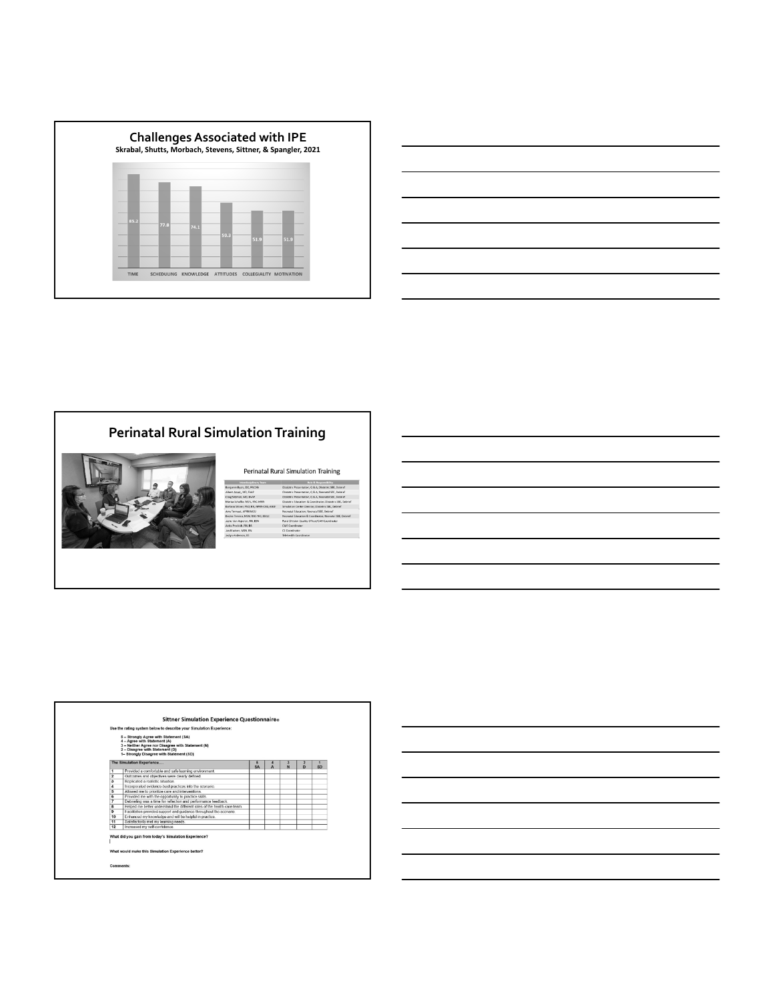

| <u> 1989 - Andrea Santa Andrea Andrea Andrea Andrea Andrea Andrea Andrea Andrea Andrea Andrea Andrea Andrea Andr</u>                                                                                                          |  | and the control of the control of |
|-------------------------------------------------------------------------------------------------------------------------------------------------------------------------------------------------------------------------------|--|-----------------------------------|
|                                                                                                                                                                                                                               |  | _____                             |
| the control of the control of the control of the control of the control of the control of the control of the control of the control of the control of the control of the control of the control of the control of the control |  |                                   |
|                                                                                                                                                                                                                               |  |                                   |
| ,我们也不会有一个人的事情。""我们的人们,我们也不会有一个人的人,我们也不会有一个人的人,我们也不会有一个人的人,我们也不会有一个人的人,我们也不会有一个人的<br>第一百一十一章 我们的人,我们的人们的人们,我们的人们的人们的人们,我们的人们的人们的人们,我们的人们的人们,我们的人们的人们,我们的人们的人们,我们的人们的人                                                          |  |                                   |

## **Perinatal Rural Simulation Training**



#### Perinatal Rural Simulation Training

|                         | Use the rating system below to describe your Simulation Experience:<br>5 - Strongly Agree with Statement (SA)<br>4 - Agree with Statement (A) |                |   |                                         |           |
|-------------------------|-----------------------------------------------------------------------------------------------------------------------------------------------|----------------|---|-----------------------------------------|-----------|
|                         | 3 - Neither Agree nor Disagree with Statement (N)<br>2 - Disagree with Statement (D)<br>1- Strongly Disagree with Statement (SD)              |                |   |                                         |           |
|                         | The Simulation Experience                                                                                                                     | Б<br><b>SA</b> | N | $\overline{\mathbf{2}}$<br>$\mathbf{D}$ | <b>SD</b> |
| 1                       | Provided a comfortable and safe learning environment.                                                                                         |                |   |                                         |           |
| $\overline{\mathbf{z}}$ | Outcomes and objectives were clearly defined.                                                                                                 |                |   |                                         |           |
| з                       | Replicated a realistic situation.                                                                                                             |                |   |                                         |           |
| 4                       | Incorporated evidence-best practices into the scenario.                                                                                       |                |   |                                         |           |
| 5                       | Allowed me to prioritize care and interventions.                                                                                              |                |   |                                         |           |
| 6                       | Provided me with the opportunity to practice skills.                                                                                          |                |   |                                         |           |
| 7                       | Debriefing was a time for reflection and performance feedback.                                                                                |                |   |                                         |           |
| ŝ                       | Helped me better understand the different roles of the health care team.                                                                      |                |   |                                         |           |
| ۰                       | Facilitation provided support and quidance throughout the scenario.                                                                           |                |   |                                         |           |
| 10                      | Enhanced my knowledge and will be helpful in practice.                                                                                        |                |   |                                         |           |
| 11                      | Satisfactorily met my learning needs.                                                                                                         |                |   |                                         |           |
| 12                      | Increased my self-confidence                                                                                                                  |                |   |                                         |           |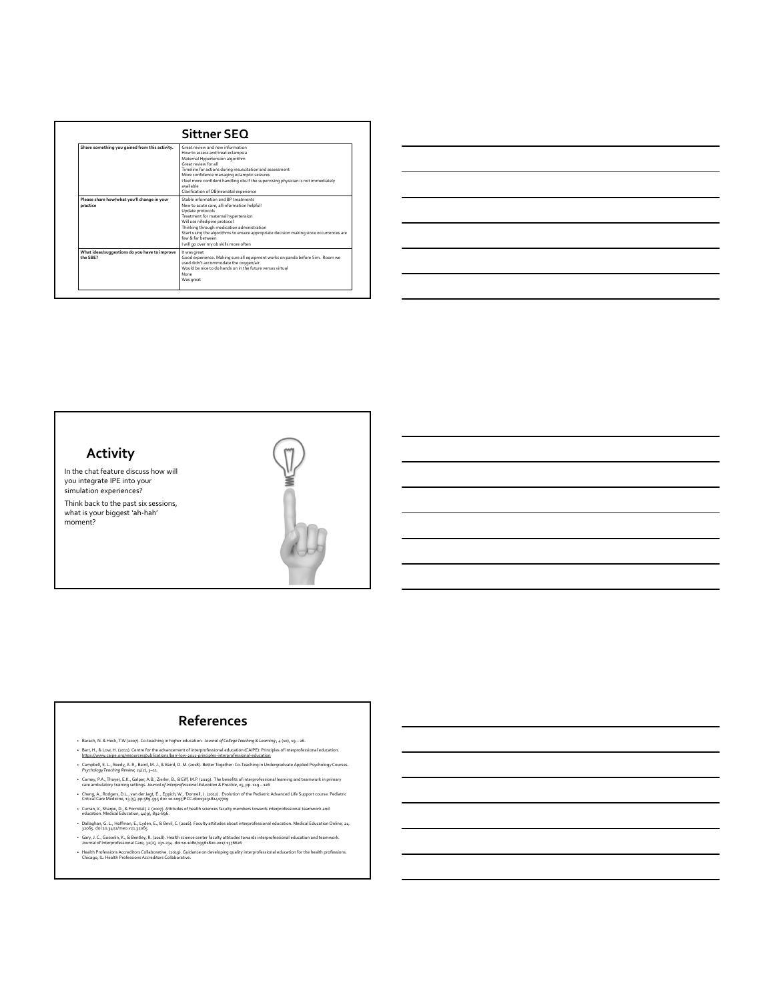|                                                           | Sittner SEO                                                                                                                                                                                                                                                                                                                                                                               |
|-----------------------------------------------------------|-------------------------------------------------------------------------------------------------------------------------------------------------------------------------------------------------------------------------------------------------------------------------------------------------------------------------------------------------------------------------------------------|
| Share something you gained from this activity.            | Great review and new information<br>How to assess and treat eclampsia<br>Maternal Hypertension algorithm<br>Great review for all<br>Timeline for actions during resuscitation and assessment<br>More confidence managing eclamptic seizures<br>I feel more confident handling obs if the supervising physician is not immediately<br>available<br>Clarification of OB/neonatal experience |
| Please share how/what you'll change in your<br>practice   | Stable information and RP treatments<br>New to acute care, all information helpful!<br>Update protocols<br>Treatment for maternal hypertension<br>Will use nifedipine protocol<br>Thinking through medication administration<br>Start using the algorithms to ensure appropriate decision making since occurrences are<br>few & far hetween<br>I will go over my ob skills more often     |
| What ideas/suggestions do you have to improve<br>the SBF? | It was great<br>Good experience. Making sure all equipment works on panda before Sim. Room we<br>used didn't accommodate the oxygen/air<br>Would be nice to do hands on in the future versus virtual<br>None<br>Was great                                                                                                                                                                 |

| <u> 1989 - Johann Stoff, deutscher Stoff, der Stoff, der Stoff, der Stoff, der Stoff, der Stoff, der Stoff, der S</u> |  |  |
|-----------------------------------------------------------------------------------------------------------------------|--|--|
| ,我们也不会有什么?""我们的人,我们也不会有什么?""我们的人,我们也不会有什么?""我们的人,我们也不会有什么?""我们的人,我们也不会有什么?""我们的人                                      |  |  |
| <u> 1989 - Johann Stoff, deutscher Stoff, der Stoff, der Stoff, der Stoff, der Stoff, der Stoff, der Stoff, der S</u> |  |  |
| <u> 1989 - Johann Stoff, deutscher Stoff, der Stoff, der Stoff, der Stoff, der Stoff, der Stoff, der Stoff, der S</u> |  |  |
| <u> 1989 - Andrea Santa Andrea Andrea Andrea Andrea Andrea Andrea Andrea Andrea Andrea Andrea Andrea Andrea Andr</u>  |  |  |
| <u> 1989 - Johann Stoff, amerikansk politiker (d. 1989)</u>                                                           |  |  |
|                                                                                                                       |  |  |



In the chat feature discuss how will you integrate IPE into your simulation experiences?

Think back to the past six sessions, what is your biggest 'ah‐hah' moment?



#### **References**

- Barach, N. & Heck,T.W (2007). Co‐teaching in higher education. *Journal of CollegeTeaching & Learning , 4* (10), 19 26. Barr, H., & Low, H. (2011). Centre for the advancement of interprofessional education (CAIPE): Principles of interprofessional education.<br>https://www.caipe.org/resources/publications/barr-low-2011-principles-interprofessio
- 
- Campbell, E. L., Reedy, A. R., Baird, M. J., & Baird, D. M. (2018). Better Together: Co‐Teaching inUndergraduate Applied Psychology Courses. *PsychologyTeaching Review, 24*(*2*), 3–11.
- Garney, P.A., Thayer, E.K., Galper, A.B., Zierler, B., & Eiff, M.P. (2019). The benefits of interprofessional learning and teamwork in primary -<br>care ambulatory training settings. *Journal of Interprofessional Education &*
- Cheng, A., Rodgers, D.L., van der Jagt, É. , Eppich, W., 'Donnell, J. (2012). Evolution of the Pediatric Advanced Life Support course. Pediatric<br>Critical Care Medicine, 13 (5), pp 589-595 doi: 10.1097/PCC.0b013e31824177
- Curran,V., Sharpe, D., & Forristall, J. (2007). Attitudes of health sciences faculty members towards interprofessional teamwork and education. Medical Education, 41(9), 892‐896.
- Dallaghan, G. L., Hoffman, E., Lyden, E., & Bevil, C. (2016). Faculty attitudes about interprofessional education. Medical Education Online, 21, 32065. doi:10.3402/meo.v21.32065
- Gary, J. C., Gosselin, K., & Bentley, R. (2018). Health science center faculty attitudes towards interprofessional education and teamwork.<br>Journal of Interprofessional Care, 32(2), 231-234. doi:10.1080/13561820.2017.1376
- Health Professions Accreditors Collaborative. (2019). Guidance on developing quality interprofessional education for the health professions.<br>Chicago, IL: Health Professions Accreditors Collaborative.